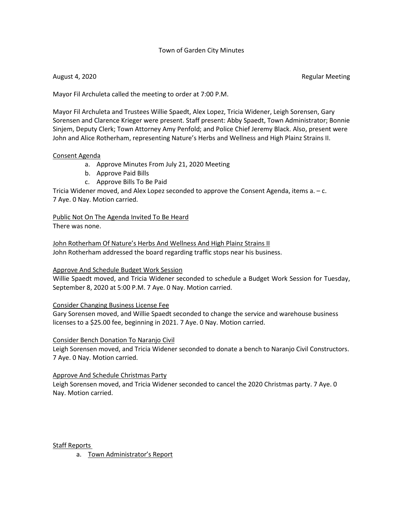### Town of Garden City Minutes

August 4, 2020 **Regular Meeting** 

Mayor Fil Archuleta called the meeting to order at 7:00 P.M.

Mayor Fil Archuleta and Trustees Willie Spaedt, Alex Lopez, Tricia Widener, Leigh Sorensen, Gary Sorensen and Clarence Krieger were present. Staff present: Abby Spaedt, Town Administrator; Bonnie Sinjem, Deputy Clerk; Town Attorney Amy Penfold; and Police Chief Jeremy Black. Also, present were John and Alice Rotherham, representing Nature's Herbs and Wellness and High Plainz Strains II.

#### Consent Agenda

- a. Approve Minutes From July 21, 2020 Meeting
- b. Approve Paid Bills
- c. Approve Bills To Be Paid

Tricia Widener moved, and Alex Lopez seconded to approve the Consent Agenda, items a. – c. 7 Aye. 0 Nay. Motion carried.

Public Not On The Agenda Invited To Be Heard There was none.

John Rotherham Of Nature's Herbs And Wellness And High Plainz Strains II John Rotherham addressed the board regarding traffic stops near his business.

### Approve And Schedule Budget Work Session

Willie Spaedt moved, and Tricia Widener seconded to schedule a Budget Work Session for Tuesday, September 8, 2020 at 5:00 P.M. 7 Aye. 0 Nay. Motion carried.

### Consider Changing Business License Fee

Gary Sorensen moved, and Willie Spaedt seconded to change the service and warehouse business licenses to a \$25.00 fee, beginning in 2021. 7 Aye. 0 Nay. Motion carried.

### Consider Bench Donation To Naranjo Civil

Leigh Sorensen moved, and Tricia Widener seconded to donate a bench to Naranjo Civil Constructors. 7 Aye. 0 Nay. Motion carried.

### Approve And Schedule Christmas Party

Leigh Sorensen moved, and Tricia Widener seconded to cancel the 2020 Christmas party. 7 Aye. 0 Nay. Motion carried.

Staff Reports

a. Town Administrator's Report